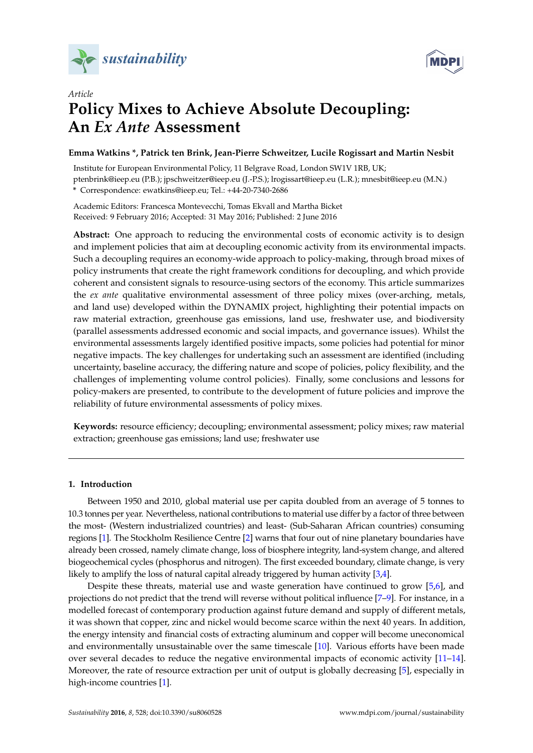



# *Article* **Policy Mixes to Achieve Absolute Decoupling: An** *Ex Ante* **Assessment**

# **Emma Watkins \*, Patrick ten Brink, Jean-Pierre Schweitzer, Lucile Rogissart and Martin Nesbit**

Institute for European Environmental Policy, 11 Belgrave Road, London SW1V 1RB, UK; ptenbrink@ieep.eu (P.B.); jpschweitzer@ieep.eu (J.-P.S.); lrogissart@ieep.eu (L.R.); mnesbit@ieep.eu (M.N.) **\*** Correspondence: ewatkins@ieep.eu; Tel.: +44-20-7340-2686

Academic Editors: Francesca Montevecchi, Tomas Ekvall and Martha Bicket Received: 9 February 2016; Accepted: 31 May 2016; Published: 2 June 2016

**Abstract:** One approach to reducing the environmental costs of economic activity is to design and implement policies that aim at decoupling economic activity from its environmental impacts. Such a decoupling requires an economy-wide approach to policy-making, through broad mixes of policy instruments that create the right framework conditions for decoupling, and which provide coherent and consistent signals to resource-using sectors of the economy. This article summarizes the *ex ante* qualitative environmental assessment of three policy mixes (over-arching, metals, and land use) developed within the DYNAMIX project, highlighting their potential impacts on raw material extraction, greenhouse gas emissions, land use, freshwater use, and biodiversity (parallel assessments addressed economic and social impacts, and governance issues). Whilst the environmental assessments largely identified positive impacts, some policies had potential for minor negative impacts. The key challenges for undertaking such an assessment are identified (including uncertainty, baseline accuracy, the differing nature and scope of policies, policy flexibility, and the challenges of implementing volume control policies). Finally, some conclusions and lessons for policy-makers are presented, to contribute to the development of future policies and improve the reliability of future environmental assessments of policy mixes.

**Keywords:** resource efficiency; decoupling; environmental assessment; policy mixes; raw material extraction; greenhouse gas emissions; land use; freshwater use

## **1. Introduction**

Between 1950 and 2010, global material use per capita doubled from an average of 5 tonnes to 10.3 tonnes per year. Nevertheless, national contributions to material use differ by a factor of three between the most- (Western industrialized countries) and least- (Sub-Saharan African countries) consuming regions [\[1\]](#page-12-0). The Stockholm Resilience Centre [\[2\]](#page-12-1) warns that four out of nine planetary boundaries have already been crossed, namely climate change, loss of biosphere integrity, land-system change, and altered biogeochemical cycles (phosphorus and nitrogen). The first exceeded boundary, climate change, is very likely to amplify the loss of natural capital already triggered by human activity [\[3,](#page-12-2)[4\]](#page-12-3).

Despite these threats, material use and waste generation have continued to grow [\[5,](#page-12-4)[6\]](#page-12-5), and projections do not predict that the trend will reverse without political influence [\[7–](#page-12-6)[9\]](#page-12-7). For instance, in a modelled forecast of contemporary production against future demand and supply of different metals, it was shown that copper, zinc and nickel would become scarce within the next 40 years. In addition, the energy intensity and financial costs of extracting aluminum and copper will become uneconomical and environmentally unsustainable over the same timescale [\[10\]](#page-12-8). Various efforts have been made over several decades to reduce the negative environmental impacts of economic activity [\[11–](#page-12-9)[14\]](#page-13-0). Moreover, the rate of resource extraction per unit of output is globally decreasing [\[5\]](#page-12-4), especially in high-income countries [\[1\]](#page-12-0).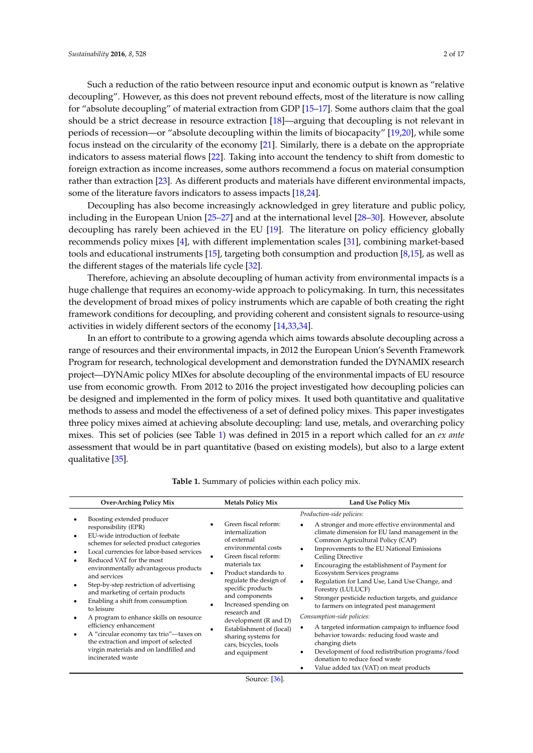Such a reduction of the ratio between resource input and economic output is known as "relative decoupling". However, as this does not prevent rebound effects, most of the literature is now calling for "absolute decoupling" of material extraction from GDP [\[15–](#page-13-1)[17\]](#page-13-2). Some authors claim that the goal should be a strict decrease in resource extraction [\[18\]](#page-13-3)—arguing that decoupling is not relevant in periods of recession—or "absolute decoupling within the limits of biocapacity" [\[19](#page-13-4)[,20\]](#page-13-5), while some focus instead on the circularity of the economy [\[21\]](#page-13-6). Similarly, there is a debate on the appropriate indicators to assess material flows [\[22\]](#page-13-7). Taking into account the tendency to shift from domestic to foreign extraction as income increases, some authors recommend a focus on material consumption rather than extraction [\[23\]](#page-13-8). As different products and materials have different environmental impacts, some of the literature favors indicators to assess impacts [\[18](#page-13-3)[,24\]](#page-13-9).

Decoupling has also become increasingly acknowledged in grey literature and public policy, including in the European Union [\[25–](#page-13-10)[27\]](#page-13-11) and at the international level [\[28](#page-13-12)[–30\]](#page-13-13). However, absolute decoupling has rarely been achieved in the EU [\[19\]](#page-13-4). The literature on policy efficiency globally recommends policy mixes [\[4\]](#page-12-3), with different implementation scales [\[31\]](#page-13-14), combining market-based tools and educational instruments [\[15\]](#page-13-1), targeting both consumption and production [\[8,](#page-12-10)[15\]](#page-13-1), as well as the different stages of the materials life cycle [\[32\]](#page-13-15).

Therefore, achieving an absolute decoupling of human activity from environmental impacts is a huge challenge that requires an economy-wide approach to policymaking. In turn, this necessitates the development of broad mixes of policy instruments which are capable of both creating the right framework conditions for decoupling, and providing coherent and consistent signals to resource-using activities in widely different sectors of the economy [\[14](#page-13-0)[,33](#page-13-16)[,34\]](#page-13-17).

In an effort to contribute to a growing agenda which aims towards absolute decoupling across a range of resources and their environmental impacts, in 2012 the European Union's Seventh Framework Program for research, technological development and demonstration funded the DYNAMIX research project—DYNAmic policy MIXes for absolute decoupling of the environmental impacts of EU resource use from economic growth. From 2012 to 2016 the project investigated how decoupling policies can be designed and implemented in the form of policy mixes. It used both quantitative and qualitative methods to assess and model the effectiveness of a set of defined policy mixes. This paper investigates three policy mixes aimed at achieving absolute decoupling: land use, metals, and overarching policy mixes. This set of policies (see Table [1\)](#page-1-0) was defined in 2015 in a report which called for an *ex ante* assessment that would be in part quantitative (based on existing models), but also to a large extent qualitative [\[35\]](#page-14-0).

<span id="page-1-0"></span>

| <b>Over-Arching Policy Mix</b>                                                                                                                                                                                                                                                                                                                                                                                                                                                                                                                                                                                               | <b>Metals Policy Mix</b>                                                                                                                                                                                                                                                                                                                                                       | <b>Land Use Policy Mix</b>                                                                                                                                                                                                                                                                                                                                                                                                                                                                                                                                                                                                                                                                                                                                                                                                |
|------------------------------------------------------------------------------------------------------------------------------------------------------------------------------------------------------------------------------------------------------------------------------------------------------------------------------------------------------------------------------------------------------------------------------------------------------------------------------------------------------------------------------------------------------------------------------------------------------------------------------|--------------------------------------------------------------------------------------------------------------------------------------------------------------------------------------------------------------------------------------------------------------------------------------------------------------------------------------------------------------------------------|---------------------------------------------------------------------------------------------------------------------------------------------------------------------------------------------------------------------------------------------------------------------------------------------------------------------------------------------------------------------------------------------------------------------------------------------------------------------------------------------------------------------------------------------------------------------------------------------------------------------------------------------------------------------------------------------------------------------------------------------------------------------------------------------------------------------------|
| Boosting extended producer<br>responsibility (EPR)<br>EU-wide introduction of feebate<br>schemes for selected product categories<br>Local currencies for labor-based services<br>Reduced VAT for the most<br>environmentally advantageous products<br>and services<br>Step-by-step restriction of advertising<br>and marketing of certain products<br>Enabling a shift from consumption<br>to leisure<br>A program to enhance skills on resource<br>efficiency enhancement<br>A "circular economy tax trio"-taxes on<br>the extraction and import of selected<br>virgin materials and on landfilled and<br>incinerated waste | Green fiscal reform:<br>internalization<br>of external<br>environmental costs<br>Green fiscal reform:<br>materials tax<br>Product standards to<br>regulate the design of<br>specific products<br>and components<br>Increased spending on<br>research and<br>development (R and D)<br>Establishment of (local)<br>sharing systems for<br>cars, bicycles, tools<br>and equipment | Production-side policies:<br>A stronger and more effective environmental and<br>climate dimension for EU land management in the<br>Common Agricultural Policy (CAP)<br>Improvements to the EU National Emissions<br>$\bullet$<br>Ceiling Directive<br>Encouraging the establishment of Payment for<br>$\bullet$<br>Ecosystem Services programs<br>Regulation for Land Use, Land Use Change, and<br>$\bullet$<br>Forestry (LULUCF)<br>Stronger pesticide reduction targets, and guidance<br>to farmers on integrated pest management<br>Consumption-side policies:<br>A targeted information campaign to influence food<br>٠<br>behavior towards: reducing food waste and<br>changing diets<br>Development of food redistribution programs/food<br>donation to reduce food waste<br>Value added tax (VAT) on meat products |

| <b>Table 1.</b> Summary of policies within each policy mix. |  |  |  |
|-------------------------------------------------------------|--|--|--|
|                                                             |  |  |  |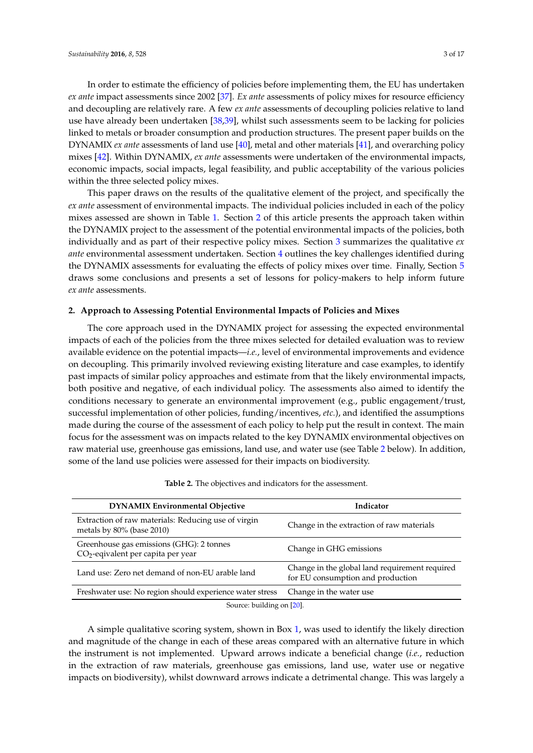In order to estimate the efficiency of policies before implementing them, the EU has undertaken *ex ante* impact assessments since 2002 [\[37\]](#page-14-2). *Ex ante* assessments of policy mixes for resource efficiency and decoupling are relatively rare. A few *ex ante* assessments of decoupling policies relative to land use have already been undertaken [\[38](#page-14-3)[,39\]](#page-14-4), whilst such assessments seem to be lacking for policies linked to metals or broader consumption and production structures. The present paper builds on the DYNAMIX *ex ante* assessments of land use [\[40\]](#page-14-5), metal and other materials [\[41\]](#page-14-6), and overarching policy mixes [\[42\]](#page-14-7). Within DYNAMIX, *ex ante* assessments were undertaken of the environmental impacts, economic impacts, social impacts, legal feasibility, and public acceptability of the various policies within the three selected policy mixes.

This paper draws on the results of the qualitative element of the project, and specifically the *ex ante* assessment of environmental impacts. The individual policies included in each of the policy mixes assessed are shown in Table [1.](#page-1-0) Section [2](#page-2-0) of this article presents the approach taken within the DYNAMIX project to the assessment of the potential environmental impacts of the policies, both individually and as part of their respective policy mixes. Section [3](#page-3-0) summarizes the qualitative *ex ante* environmental assessment undertaken. Section [4](#page-7-0) outlines the key challenges identified during the DYNAMIX assessments for evaluating the effects of policy mixes over time. Finally, Section [5](#page-10-0) draws some conclusions and presents a set of lessons for policy-makers to help inform future *ex ante* assessments.

## <span id="page-2-0"></span>**2. Approach to Assessing Potential Environmental Impacts of Policies and Mixes**

The core approach used in the DYNAMIX project for assessing the expected environmental impacts of each of the policies from the three mixes selected for detailed evaluation was to review available evidence on the potential impacts—*i.e.*, level of environmental improvements and evidence on decoupling. This primarily involved reviewing existing literature and case examples, to identify past impacts of similar policy approaches and estimate from that the likely environmental impacts, both positive and negative, of each individual policy. The assessments also aimed to identify the conditions necessary to generate an environmental improvement (e.g., public engagement/trust, successful implementation of other policies, funding/incentives, *etc.*), and identified the assumptions made during the course of the assessment of each policy to help put the result in context. The main focus for the assessment was on impacts related to the key DYNAMIX environmental objectives on raw material use, greenhouse gas emissions, land use, and water use (see Table [2](#page-2-1) below). In addition, some of the land use policies were assessed for their impacts on biodiversity.

<span id="page-2-1"></span>

| <b>DYNAMIX Environmental Objective</b>                                                     | Indicator                                                                           |
|--------------------------------------------------------------------------------------------|-------------------------------------------------------------------------------------|
| Extraction of raw materials: Reducing use of virgin<br>metals by $80\%$ (base 2010)        | Change in the extraction of raw materials                                           |
| Greenhouse gas emissions (GHG): 2 tonnes<br>CO <sub>2</sub> -eqivalent per capita per year | Change in GHG emissions                                                             |
| Land use: Zero net demand of non-EU arable land                                            | Change in the global land requirement required<br>for EU consumption and production |
| Freshwater use: No region should experience water stress                                   | Change in the water use                                                             |
|                                                                                            |                                                                                     |

**Table 2.** The objectives and indicators for the assessment.

Source: building on [\[20\]](#page-13-5).

A simple qualitative scoring system, shown in Box [1,](#page-3-1) was used to identify the likely direction and magnitude of the change in each of these areas compared with an alternative future in which the instrument is not implemented. Upward arrows indicate a beneficial change (*i.e.*, reduction in the extraction of raw materials, greenhouse gas emissions, land use, water use or negative impacts on biodiversity), whilst downward arrows indicate a detrimental change. This was largely a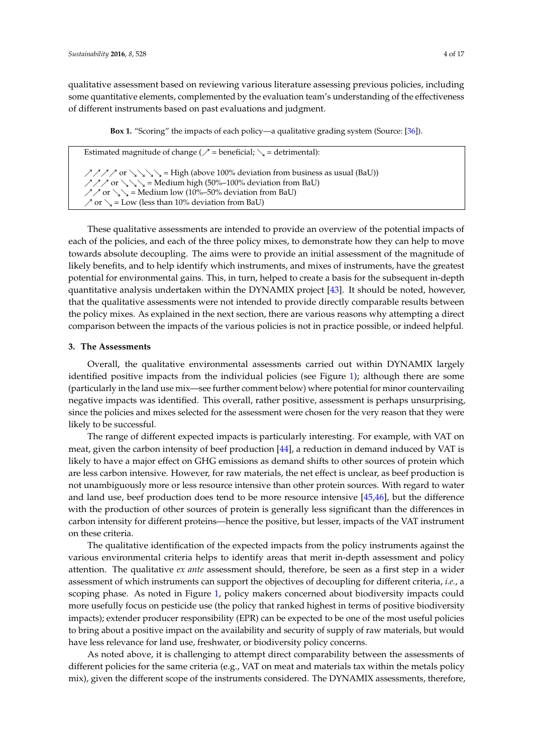qualitative assessment based on reviewing various literature assessing previous policies, including some quantitative elements, complemented by the evaluation team's understanding of the effectiveness of different instruments based on past evaluations and judgment.

**Box 1.** "Scoring" the impacts of each policy—a qualitative grading system (Source: [\[36\]](#page-14-1)).

<span id="page-3-1"></span>Estimated magnitude of change ( $\mathcal{P}$  = beneficial;  $\mathcal{L}$  = detrimental):  $\sqrt{777}$  or  $\sqrt{3}\sqrt{2}$  = High (above 100% deviation from business as usual (BaU))  $\angle$   $\angle$   $\angle$  or  $\angle$   $\angle$  = Medium high (50%–100% deviation from BaU)  $\angle$  or  $\searrow$  = Medium low (10%–50% deviation from BaU)  $\gamma$  or  $\zeta$  = Low (less than 10% deviation from BaU)

These qualitative assessments are intended to provide an overview of the potential impacts of each of the policies, and each of the three policy mixes, to demonstrate how they can help to move towards absolute decoupling. The aims were to provide an initial assessment of the magnitude of likely benefits, and to help identify which instruments, and mixes of instruments, have the greatest potential for environmental gains. This, in turn, helped to create a basis for the subsequent in-depth quantitative analysis undertaken within the DYNAMIX project [\[43\]](#page-14-8). It should be noted, however, that the qualitative assessments were not intended to provide directly comparable results between the policy mixes. As explained in the next section, there are various reasons why attempting a direct comparison between the impacts of the various policies is not in practice possible, or indeed helpful.

## <span id="page-3-0"></span>**3. The Assessments**

Overall, the qualitative environmental assessments carried out within DYNAMIX largely identified positive impacts from the individual policies (see Figure [1\)](#page-4-0); although there are some (particularly in the land use mix—see further comment below) where potential for minor countervailing negative impacts was identified. This overall, rather positive, assessment is perhaps unsurprising, since the policies and mixes selected for the assessment were chosen for the very reason that they were likely to be successful.

The range of different expected impacts is particularly interesting. For example, with VAT on meat, given the carbon intensity of beef production [\[44\]](#page-14-9), a reduction in demand induced by VAT is likely to have a major effect on GHG emissions as demand shifts to other sources of protein which are less carbon intensive. However, for raw materials, the net effect is unclear, as beef production is not unambiguously more or less resource intensive than other protein sources. With regard to water and land use, beef production does tend to be more resource intensive [\[45](#page-14-10)[,46\]](#page-14-11), but the difference with the production of other sources of protein is generally less significant than the differences in carbon intensity for different proteins—hence the positive, but lesser, impacts of the VAT instrument on these criteria.

The qualitative identification of the expected impacts from the policy instruments against the various environmental criteria helps to identify areas that merit in-depth assessment and policy attention. The qualitative *ex ante* assessment should, therefore, be seen as a first step in a wider assessment of which instruments can support the objectives of decoupling for different criteria, *i.e.*, a scoping phase. As noted in Figure [1,](#page-4-0) policy makers concerned about biodiversity impacts could more usefully focus on pesticide use (the policy that ranked highest in terms of positive biodiversity impacts); extender producer responsibility (EPR) can be expected to be one of the most useful policies to bring about a positive impact on the availability and security of supply of raw materials, but would have less relevance for land use, freshwater, or biodiversity policy concerns.

As noted above, it is challenging to attempt direct comparability between the assessments of different policies for the same criteria (e.g., VAT on meat and materials tax within the metals policy mix), given the different scope of the instruments considered. The DYNAMIX assessments, therefore,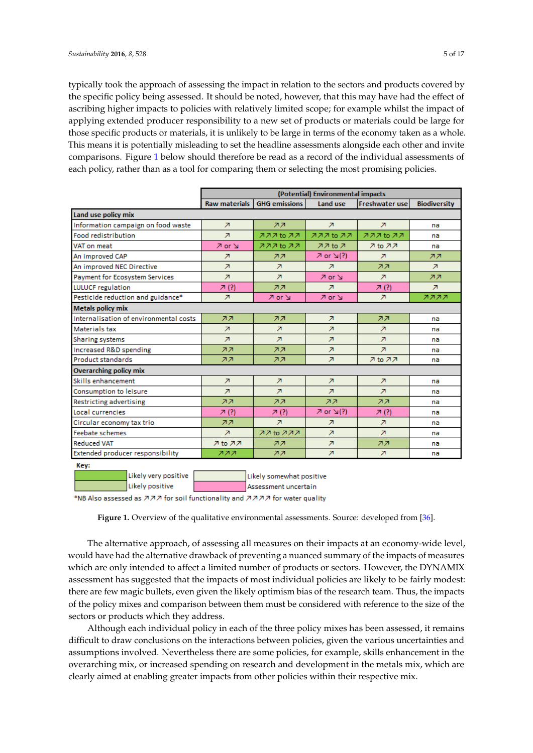typically took the approach of assessing the impact in relation to the sectors and products covered by the specific policy being assessed. It should be noted, however, that this may have had the effect of ascribing higher impacts to policies with relatively limited scope; for example whilst the impact of applying extended producer responsibility to a new set of products or materials could be large for those specific products or materials, it is unlikely to be large in terms of the economy taken as a whole. This means it is potentially misleading to set the headline assessments alongside each other and invite comparisons. Figure 1 below should therefore be read as a record of the individual assessments of each policy, rather than as a tool for comparing them or selecting the most promising policies.

<span id="page-4-0"></span>

|                                        | (Potential) Environmental impacts |                          |                          |                          |                          |
|----------------------------------------|-----------------------------------|--------------------------|--------------------------|--------------------------|--------------------------|
|                                        | <b>Raw materials</b>              | <b>GHG</b> emissions     | Land use                 | Freshwater use           | <b>Biodiversity</b>      |
| Land use policy mix                    |                                   |                          |                          |                          |                          |
| Information campaign on food waste     | $\overline{\mathbf{z}}$           | <b>77</b>                | $\overline{\mathbf{z}}$  | $\overline{\mathbf{z}}$  | na                       |
| Food redistribution                    | $\overline{\mathbf{z}}$           | ススス to スス                | ススス to スス                | フフフ to フフ                | na                       |
| VAT on meat                            | $7$ or $\vee$                     | 777 to 77                | 77 <sub>to</sub> 7       | $7$ to $77$              | na                       |
| An improved CAP                        | $\overline{\mathbf{z}}$           | スス                       | $\sqrt{2}$ or $\sqrt{2}$ | $\overline{\phantom{a}}$ | <b>77</b>                |
| An improved NEC Directive              | $\overline{\mathbf{z}}$           | $\overline{\mathbf{z}}$  | $\overline{\mathbf{z}}$  | <b>777</b>               | $\overline{\phantom{a}}$ |
| Payment for Ecosystem Services         | Z.                                | Z.                       | $\sqrt{2}$ or $\sqrt{2}$ | Z.                       | <b>77</b>                |
| <b>LULUCF</b> regulation               | 겨 (?)                             | 77                       | z                        | 겨 (?)                    | $\overline{\phantom{a}}$ |
| Pesticide reduction and guidance*      | $\overline{\mathbf{z}}$           | A or N                   | A or N                   | $\overline{\phantom{a}}$ | スススス                     |
| <b>Metals policy mix</b>               |                                   |                          |                          |                          |                          |
| Internalisation of environmental costs | スス                                | 77                       | π                        | 77                       | na                       |
| <b>Materials tax</b>                   | Z.                                | Z.                       | Z.                       | $\overline{\phantom{a}}$ | na                       |
| <b>Sharing systems</b>                 | $\overline{\phantom{a}}$          | $\overline{\phantom{a}}$ | $\overline{\phantom{a}}$ | Ζ                        | na                       |
| Increased R&D spending                 | <b>777</b>                        | 77                       | z                        | $\overline{\mathbf{z}}$  | na                       |
| <b>Product standards</b>               | <b>777</b>                        | 77                       | $\overline{\mathbf{z}}$  | $7$ to $77$              | na                       |
| <b>Overarching policy mix</b>          |                                   |                          |                          |                          |                          |
| Skills enhancement                     | Z.                                | Z.                       | Z.                       | Z.                       | na                       |
| Consumption to leisure                 | $\overline{\phantom{a}}$          | $\overline{\phantom{a}}$ | $\overline{\mathbf{z}}$  | $\overline{\phantom{a}}$ | na                       |
| <b>Restricting advertising</b>         | スス                                | 77                       | 77                       | 77                       | na                       |
| Local currencies                       | 겨 (?)                             | 7(?)                     | $\sqrt{2}$ or $\sqrt{2}$ | 7(?)                     | na                       |
| Circular economy tax trio              | <b>777</b>                        | $\overline{\phantom{a}}$ | Z.                       | $\overline{\phantom{a}}$ | na                       |
| <b>Feebate schemes</b>                 | $\overline{\phantom{a}}$          | スス to ススス                | $\overline{\phantom{a}}$ | $\overline{\mathbf{z}}$  | na                       |
| <b>Reduced VAT</b>                     | 7 to 77                           | スス                       | Ζ                        | ᅔ겨                       | na                       |
| Extended producer responsibility       | ススス                               | スス                       | π                        | Z.                       | na                       |

Key:

| Likely very positive | Likely somewhat positive                                                         |
|----------------------|----------------------------------------------------------------------------------|
| Likely positive      | Assessment uncertain                                                             |
|                      | SMD Alex expected on 2020 for each functionality and 2020 205 for motor couldn't |

'NB Also assessed as  ${\mathcal{P}}{\mathcal{P}}{\mathcal{P}}$  for soil functionality and  ${\mathcal{P}}{\mathcal{P}}{\mathcal{P}}{\mathcal{P}}$  for water quality

**Figure 1.** Overview of the qualitative environmental assessments. Source: developed from [\[36\]](#page-14-1). **Figure 1.** Overview of the qualitative environmental assessments. Source: developed from [36].

The alternative approach, of assessing all measures on their impacts at an economy‐wide level, The alternative approach, of assessing all measures on their impacts at an economy-wide level, would have had the alternative drawback of preventing a nuanced summary of the impacts of would have had the alternative drawback of preventing a nuanced summary of the impacts of measures which are only intended to affect a limited number of products or sectors. However, the DYNAMIX assessment has suggested that the impacts of most individual policies are likely to be fairly modest: there are few magic bullets, even given the likely optimism bias of the research team. Thus, the impacts of the policy mixes and comparison between them must be considered with reference to the size of the sectors or products which they address.

Although each individual policy in each of the three policy mixes has been assessed, it remains difficult to draw conclusions on the interactions between policies, given the various uncertainties and assumptions involved. Nevertheless there are some policies, for example, skills enhancement in the overarching mix, or increased spending on research and development in the metals mix, which are clearly aimed at enabling greater impacts from other policies within their respective mix.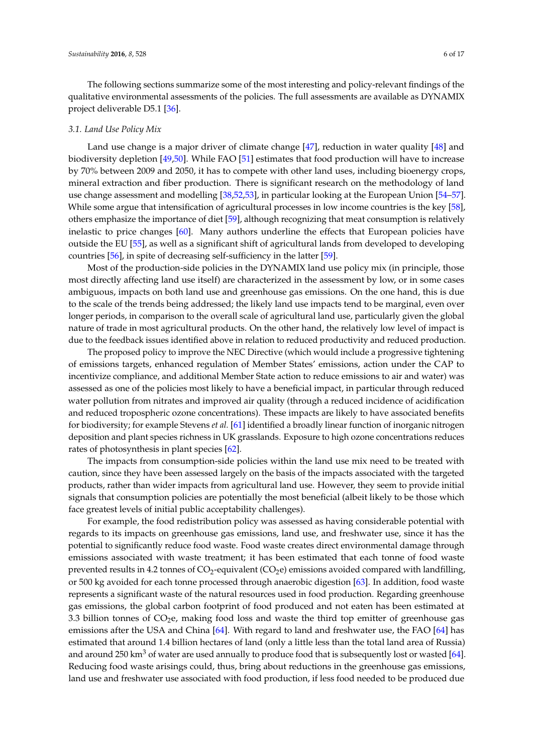The following sections summarize some of the most interesting and policy-relevant findings of the qualitative environmental assessments of the policies. The full assessments are available as DYNAMIX project deliverable D5.1 [\[36\]](#page-14-1).

#### *3.1. Land Use Policy Mix*

Land use change is a major driver of climate change [\[47\]](#page-14-12), reduction in water quality [\[48\]](#page-14-13) and biodiversity depletion [\[49,](#page-14-14)[50\]](#page-14-15). While FAO [\[51\]](#page-14-16) estimates that food production will have to increase by 70% between 2009 and 2050, it has to compete with other land uses, including bioenergy crops, mineral extraction and fiber production. There is significant research on the methodology of land use change assessment and modelling [\[38](#page-14-3)[,52](#page-14-17)[,53\]](#page-15-0), in particular looking at the European Union [\[54–](#page-15-1)[57\]](#page-15-2). While some argue that intensification of agricultural processes in low income countries is the key [\[58\]](#page-15-3), others emphasize the importance of diet [\[59\]](#page-15-4), although recognizing that meat consumption is relatively inelastic to price changes [\[60\]](#page-15-5). Many authors underline the effects that European policies have outside the EU [\[55\]](#page-15-6), as well as a significant shift of agricultural lands from developed to developing countries [\[56\]](#page-15-7), in spite of decreasing self-sufficiency in the latter [\[59\]](#page-15-4).

Most of the production-side policies in the DYNAMIX land use policy mix (in principle, those most directly affecting land use itself) are characterized in the assessment by low, or in some cases ambiguous, impacts on both land use and greenhouse gas emissions. On the one hand, this is due to the scale of the trends being addressed; the likely land use impacts tend to be marginal, even over longer periods, in comparison to the overall scale of agricultural land use, particularly given the global nature of trade in most agricultural products. On the other hand, the relatively low level of impact is due to the feedback issues identified above in relation to reduced productivity and reduced production.

The proposed policy to improve the NEC Directive (which would include a progressive tightening of emissions targets, enhanced regulation of Member States' emissions, action under the CAP to incentivize compliance, and additional Member State action to reduce emissions to air and water) was assessed as one of the policies most likely to have a beneficial impact, in particular through reduced water pollution from nitrates and improved air quality (through a reduced incidence of acidification and reduced tropospheric ozone concentrations). These impacts are likely to have associated benefits for biodiversity; for example Stevens *et al.* [\[61\]](#page-15-8) identified a broadly linear function of inorganic nitrogen deposition and plant species richness in UK grasslands. Exposure to high ozone concentrations reduces rates of photosynthesis in plant species [\[62\]](#page-15-9).

The impacts from consumption-side policies within the land use mix need to be treated with caution, since they have been assessed largely on the basis of the impacts associated with the targeted products, rather than wider impacts from agricultural land use. However, they seem to provide initial signals that consumption policies are potentially the most beneficial (albeit likely to be those which face greatest levels of initial public acceptability challenges).

For example, the food redistribution policy was assessed as having considerable potential with regards to its impacts on greenhouse gas emissions, land use, and freshwater use, since it has the potential to significantly reduce food waste. Food waste creates direct environmental damage through emissions associated with waste treatment; it has been estimated that each tonne of food waste prevented results in 4.2 tonnes of  $CO_2$ -equivalent (CO<sub>2</sub>e) emissions avoided compared with landfilling, or 500 kg avoided for each tonne processed through anaerobic digestion [\[63\]](#page-15-10). In addition, food waste represents a significant waste of the natural resources used in food production. Regarding greenhouse gas emissions, the global carbon footprint of food produced and not eaten has been estimated at 3.3 billion tonnes of CO<sub>2</sub>e, making food loss and waste the third top emitter of greenhouse gas emissions after the USA and China [\[64\]](#page-15-11). With regard to land and freshwater use, the FAO [\[64\]](#page-15-11) has estimated that around 1.4 billion hectares of land (only a little less than the total land area of Russia) and around 250 km<sup>3</sup> of water are used annually to produce food that is subsequently lost or wasted [\[64\]](#page-15-11). Reducing food waste arisings could, thus, bring about reductions in the greenhouse gas emissions, land use and freshwater use associated with food production, if less food needed to be produced due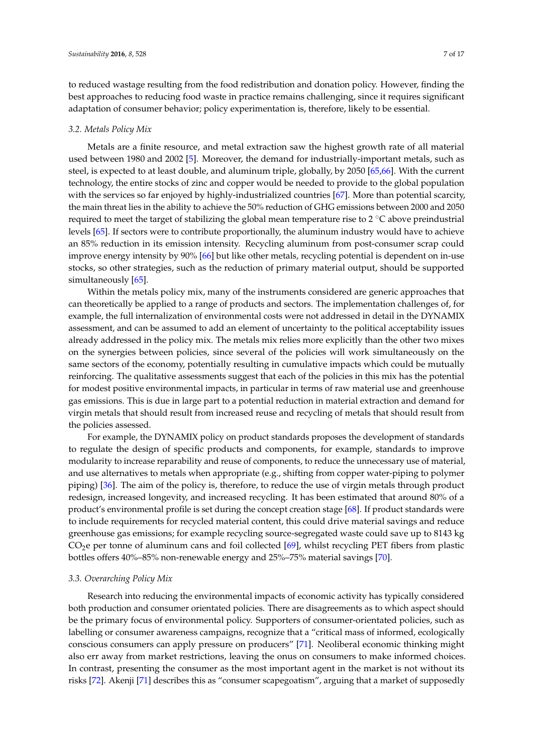to reduced wastage resulting from the food redistribution and donation policy. However, finding the best approaches to reducing food waste in practice remains challenging, since it requires significant

## *3.2. Metals Policy Mix*

Metals are a finite resource, and metal extraction saw the highest growth rate of all material used between 1980 and 2002 [\[5\]](#page-12-4). Moreover, the demand for industrially-important metals, such as steel, is expected to at least double, and aluminum triple, globally, by 2050 [\[65](#page-15-12)[,66\]](#page-15-13). With the current technology, the entire stocks of zinc and copper would be needed to provide to the global population with the services so far enjoyed by highly-industrialized countries [\[67\]](#page-15-14). More than potential scarcity, the main threat lies in the ability to achieve the 50% reduction of GHG emissions between 2000 and 2050 required to meet the target of stabilizing the global mean temperature rise to  $2 \degree C$  above preindustrial levels [\[65\]](#page-15-12). If sectors were to contribute proportionally, the aluminum industry would have to achieve an 85% reduction in its emission intensity. Recycling aluminum from post-consumer scrap could improve energy intensity by 90% [\[66\]](#page-15-13) but like other metals, recycling potential is dependent on in-use stocks, so other strategies, such as the reduction of primary material output, should be supported simultaneously [\[65\]](#page-15-12).

adaptation of consumer behavior; policy experimentation is, therefore, likely to be essential.

Within the metals policy mix, many of the instruments considered are generic approaches that can theoretically be applied to a range of products and sectors. The implementation challenges of, for example, the full internalization of environmental costs were not addressed in detail in the DYNAMIX assessment, and can be assumed to add an element of uncertainty to the political acceptability issues already addressed in the policy mix. The metals mix relies more explicitly than the other two mixes on the synergies between policies, since several of the policies will work simultaneously on the same sectors of the economy, potentially resulting in cumulative impacts which could be mutually reinforcing. The qualitative assessments suggest that each of the policies in this mix has the potential for modest positive environmental impacts, in particular in terms of raw material use and greenhouse gas emissions. This is due in large part to a potential reduction in material extraction and demand for virgin metals that should result from increased reuse and recycling of metals that should result from the policies assessed.

For example, the DYNAMIX policy on product standards proposes the development of standards to regulate the design of specific products and components, for example, standards to improve modularity to increase reparability and reuse of components, to reduce the unnecessary use of material, and use alternatives to metals when appropriate (e.g., shifting from copper water-piping to polymer piping) [\[36\]](#page-14-1). The aim of the policy is, therefore, to reduce the use of virgin metals through product redesign, increased longevity, and increased recycling. It has been estimated that around 80% of a product's environmental profile is set during the concept creation stage [\[68\]](#page-15-15). If product standards were to include requirements for recycled material content, this could drive material savings and reduce greenhouse gas emissions; for example recycling source-segregated waste could save up to 8143 kg  $CO<sub>2</sub>e$  per tonne of aluminum cans and foil collected [\[69\]](#page-15-16), whilst recycling PET fibers from plastic bottles offers 40%–85% non-renewable energy and 25%–75% material savings [\[70\]](#page-15-17).

#### *3.3. Overarching Policy Mix*

Research into reducing the environmental impacts of economic activity has typically considered both production and consumer orientated policies. There are disagreements as to which aspect should be the primary focus of environmental policy. Supporters of consumer-orientated policies, such as labelling or consumer awareness campaigns, recognize that a "critical mass of informed, ecologically conscious consumers can apply pressure on producers" [\[71\]](#page-15-18). Neoliberal economic thinking might also err away from market restrictions, leaving the onus on consumers to make informed choices. In contrast, presenting the consumer as the most important agent in the market is not without its risks [\[72\]](#page-15-19). Akenji [\[71\]](#page-15-18) describes this as "consumer scapegoatism", arguing that a market of supposedly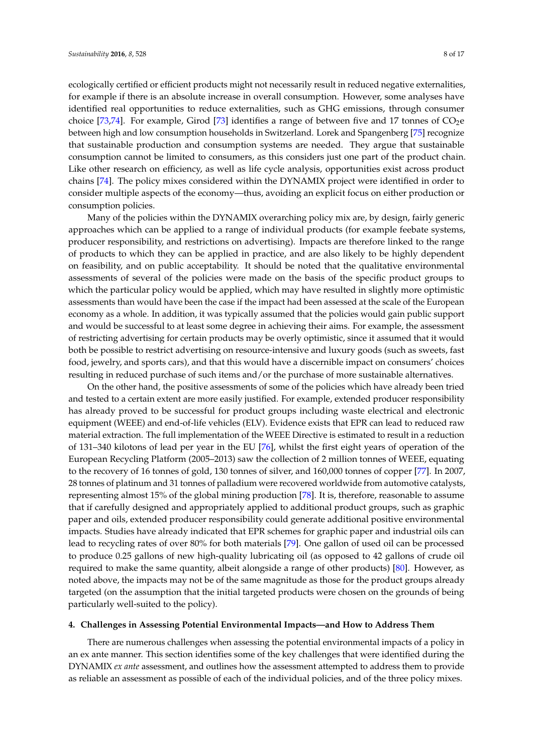ecologically certified or efficient products might not necessarily result in reduced negative externalities, for example if there is an absolute increase in overall consumption. However, some analyses have identified real opportunities to reduce externalities, such as GHG emissions, through consumer choice [\[73,](#page-15-20)[74\]](#page-15-21). For example, Girod [\[73\]](#page-15-20) identifies a range of between five and 17 tonnes of  $CO<sub>2</sub>e$ between high and low consumption households in Switzerland. Lorek and Spangenberg [\[75\]](#page-15-22) recognize that sustainable production and consumption systems are needed. They argue that sustainable consumption cannot be limited to consumers, as this considers just one part of the product chain. Like other research on efficiency, as well as life cycle analysis, opportunities exist across product chains [\[74\]](#page-15-21). The policy mixes considered within the DYNAMIX project were identified in order to consider multiple aspects of the economy—thus, avoiding an explicit focus on either production or consumption policies.

Many of the policies within the DYNAMIX overarching policy mix are, by design, fairly generic approaches which can be applied to a range of individual products (for example feebate systems, producer responsibility, and restrictions on advertising). Impacts are therefore linked to the range of products to which they can be applied in practice, and are also likely to be highly dependent on feasibility, and on public acceptability. It should be noted that the qualitative environmental assessments of several of the policies were made on the basis of the specific product groups to which the particular policy would be applied, which may have resulted in slightly more optimistic assessments than would have been the case if the impact had been assessed at the scale of the European economy as a whole. In addition, it was typically assumed that the policies would gain public support and would be successful to at least some degree in achieving their aims. For example, the assessment of restricting advertising for certain products may be overly optimistic, since it assumed that it would both be possible to restrict advertising on resource-intensive and luxury goods (such as sweets, fast food, jewelry, and sports cars), and that this would have a discernible impact on consumers' choices resulting in reduced purchase of such items and/or the purchase of more sustainable alternatives.

On the other hand, the positive assessments of some of the policies which have already been tried and tested to a certain extent are more easily justified. For example, extended producer responsibility has already proved to be successful for product groups including waste electrical and electronic equipment (WEEE) and end-of-life vehicles (ELV). Evidence exists that EPR can lead to reduced raw material extraction. The full implementation of the WEEE Directive is estimated to result in a reduction of 131–340 kilotons of lead per year in the EU [\[76\]](#page-15-23), whilst the first eight years of operation of the European Recycling Platform (2005–2013) saw the collection of 2 million tonnes of WEEE, equating to the recovery of 16 tonnes of gold, 130 tonnes of silver, and 160,000 tonnes of copper [\[77\]](#page-16-0). In 2007, 28 tonnes of platinum and 31 tonnes of palladium were recovered worldwide from automotive catalysts, representing almost 15% of the global mining production [\[78\]](#page-16-1). It is, therefore, reasonable to assume that if carefully designed and appropriately applied to additional product groups, such as graphic paper and oils, extended producer responsibility could generate additional positive environmental impacts. Studies have already indicated that EPR schemes for graphic paper and industrial oils can lead to recycling rates of over 80% for both materials [\[79\]](#page-16-2). One gallon of used oil can be processed to produce 0.25 gallons of new high-quality lubricating oil (as opposed to 42 gallons of crude oil required to make the same quantity, albeit alongside a range of other products) [\[80\]](#page-16-3). However, as noted above, the impacts may not be of the same magnitude as those for the product groups already targeted (on the assumption that the initial targeted products were chosen on the grounds of being particularly well-suited to the policy).

## <span id="page-7-0"></span>**4. Challenges in Assessing Potential Environmental Impacts—and How to Address Them**

There are numerous challenges when assessing the potential environmental impacts of a policy in an ex ante manner. This section identifies some of the key challenges that were identified during the DYNAMIX *ex ante* assessment, and outlines how the assessment attempted to address them to provide as reliable an assessment as possible of each of the individual policies, and of the three policy mixes.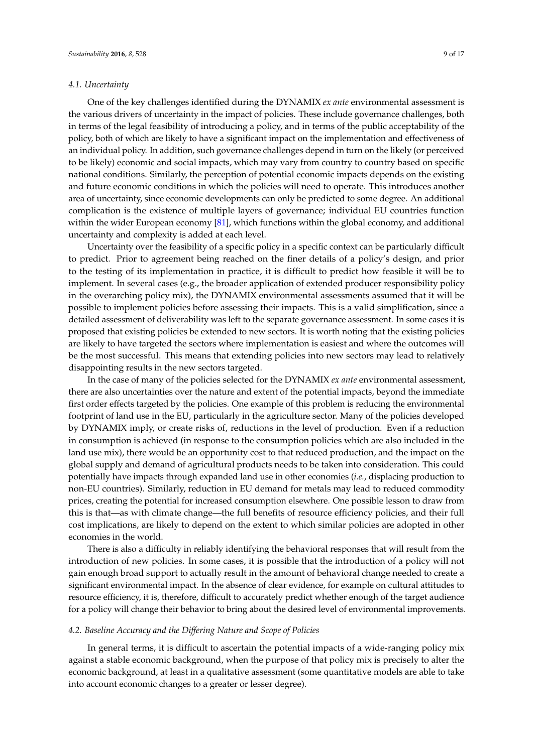#### *4.1. Uncertainty*

One of the key challenges identified during the DYNAMIX *ex ante* environmental assessment is the various drivers of uncertainty in the impact of policies. These include governance challenges, both in terms of the legal feasibility of introducing a policy, and in terms of the public acceptability of the policy, both of which are likely to have a significant impact on the implementation and effectiveness of an individual policy. In addition, such governance challenges depend in turn on the likely (or perceived to be likely) economic and social impacts, which may vary from country to country based on specific national conditions. Similarly, the perception of potential economic impacts depends on the existing and future economic conditions in which the policies will need to operate. This introduces another area of uncertainty, since economic developments can only be predicted to some degree. An additional complication is the existence of multiple layers of governance; individual EU countries function within the wider European economy [\[81\]](#page-16-4), which functions within the global economy, and additional uncertainty and complexity is added at each level.

Uncertainty over the feasibility of a specific policy in a specific context can be particularly difficult to predict. Prior to agreement being reached on the finer details of a policy's design, and prior to the testing of its implementation in practice, it is difficult to predict how feasible it will be to implement. In several cases (e.g., the broader application of extended producer responsibility policy in the overarching policy mix), the DYNAMIX environmental assessments assumed that it will be possible to implement policies before assessing their impacts. This is a valid simplification, since a detailed assessment of deliverability was left to the separate governance assessment. In some cases it is proposed that existing policies be extended to new sectors. It is worth noting that the existing policies are likely to have targeted the sectors where implementation is easiest and where the outcomes will be the most successful. This means that extending policies into new sectors may lead to relatively disappointing results in the new sectors targeted.

In the case of many of the policies selected for the DYNAMIX *ex ante* environmental assessment, there are also uncertainties over the nature and extent of the potential impacts, beyond the immediate first order effects targeted by the policies. One example of this problem is reducing the environmental footprint of land use in the EU, particularly in the agriculture sector. Many of the policies developed by DYNAMIX imply, or create risks of, reductions in the level of production. Even if a reduction in consumption is achieved (in response to the consumption policies which are also included in the land use mix), there would be an opportunity cost to that reduced production, and the impact on the global supply and demand of agricultural products needs to be taken into consideration. This could potentially have impacts through expanded land use in other economies (*i.e.*, displacing production to non-EU countries). Similarly, reduction in EU demand for metals may lead to reduced commodity prices, creating the potential for increased consumption elsewhere. One possible lesson to draw from this is that—as with climate change—the full benefits of resource efficiency policies, and their full cost implications, are likely to depend on the extent to which similar policies are adopted in other economies in the world.

There is also a difficulty in reliably identifying the behavioral responses that will result from the introduction of new policies. In some cases, it is possible that the introduction of a policy will not gain enough broad support to actually result in the amount of behavioral change needed to create a significant environmental impact. In the absence of clear evidence, for example on cultural attitudes to resource efficiency, it is, therefore, difficult to accurately predict whether enough of the target audience for a policy will change their behavior to bring about the desired level of environmental improvements.

#### *4.2. Baseline Accuracy and the Differing Nature and Scope of Policies*

In general terms, it is difficult to ascertain the potential impacts of a wide-ranging policy mix against a stable economic background, when the purpose of that policy mix is precisely to alter the economic background, at least in a qualitative assessment (some quantitative models are able to take into account economic changes to a greater or lesser degree).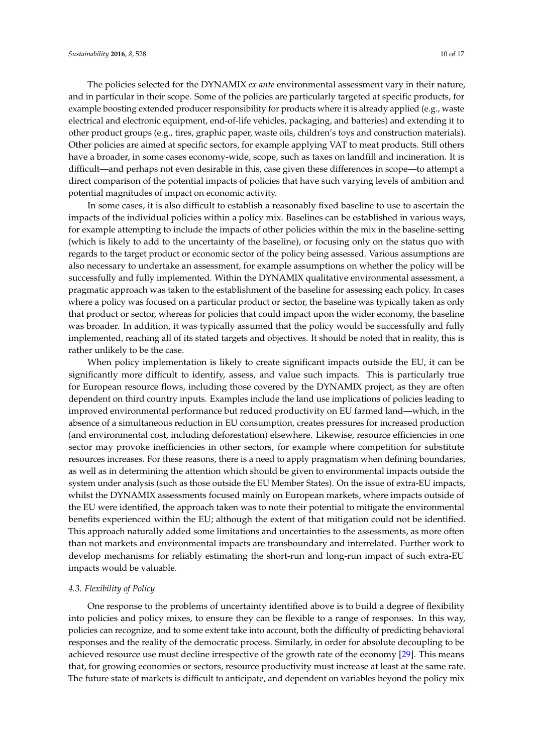The policies selected for the DYNAMIX *ex ante* environmental assessment vary in their nature, and in particular in their scope. Some of the policies are particularly targeted at specific products, for example boosting extended producer responsibility for products where it is already applied (e.g., waste electrical and electronic equipment, end-of-life vehicles, packaging, and batteries) and extending it to other product groups (e.g., tires, graphic paper, waste oils, children's toys and construction materials). Other policies are aimed at specific sectors, for example applying VAT to meat products. Still others have a broader, in some cases economy-wide, scope, such as taxes on landfill and incineration. It is difficult—and perhaps not even desirable in this, case given these differences in scope—to attempt a direct comparison of the potential impacts of policies that have such varying levels of ambition and potential magnitudes of impact on economic activity.

In some cases, it is also difficult to establish a reasonably fixed baseline to use to ascertain the impacts of the individual policies within a policy mix. Baselines can be established in various ways, for example attempting to include the impacts of other policies within the mix in the baseline-setting (which is likely to add to the uncertainty of the baseline), or focusing only on the status quo with regards to the target product or economic sector of the policy being assessed. Various assumptions are also necessary to undertake an assessment, for example assumptions on whether the policy will be successfully and fully implemented. Within the DYNAMIX qualitative environmental assessment, a pragmatic approach was taken to the establishment of the baseline for assessing each policy. In cases where a policy was focused on a particular product or sector, the baseline was typically taken as only that product or sector, whereas for policies that could impact upon the wider economy, the baseline was broader. In addition, it was typically assumed that the policy would be successfully and fully implemented, reaching all of its stated targets and objectives. It should be noted that in reality, this is rather unlikely to be the case.

When policy implementation is likely to create significant impacts outside the EU, it can be significantly more difficult to identify, assess, and value such impacts. This is particularly true for European resource flows, including those covered by the DYNAMIX project, as they are often dependent on third country inputs. Examples include the land use implications of policies leading to improved environmental performance but reduced productivity on EU farmed land—which, in the absence of a simultaneous reduction in EU consumption, creates pressures for increased production (and environmental cost, including deforestation) elsewhere. Likewise, resource efficiencies in one sector may provoke inefficiencies in other sectors, for example where competition for substitute resources increases. For these reasons, there is a need to apply pragmatism when defining boundaries, as well as in determining the attention which should be given to environmental impacts outside the system under analysis (such as those outside the EU Member States). On the issue of extra-EU impacts, whilst the DYNAMIX assessments focused mainly on European markets, where impacts outside of the EU were identified, the approach taken was to note their potential to mitigate the environmental benefits experienced within the EU; although the extent of that mitigation could not be identified. This approach naturally added some limitations and uncertainties to the assessments, as more often than not markets and environmental impacts are transboundary and interrelated. Further work to develop mechanisms for reliably estimating the short-run and long-run impact of such extra-EU impacts would be valuable.

#### *4.3. Flexibility of Policy*

One response to the problems of uncertainty identified above is to build a degree of flexibility into policies and policy mixes, to ensure they can be flexible to a range of responses. In this way, policies can recognize, and to some extent take into account, both the difficulty of predicting behavioral responses and the reality of the democratic process. Similarly, in order for absolute decoupling to be achieved resource use must decline irrespective of the growth rate of the economy [\[29\]](#page-13-18). This means that, for growing economies or sectors, resource productivity must increase at least at the same rate. The future state of markets is difficult to anticipate, and dependent on variables beyond the policy mix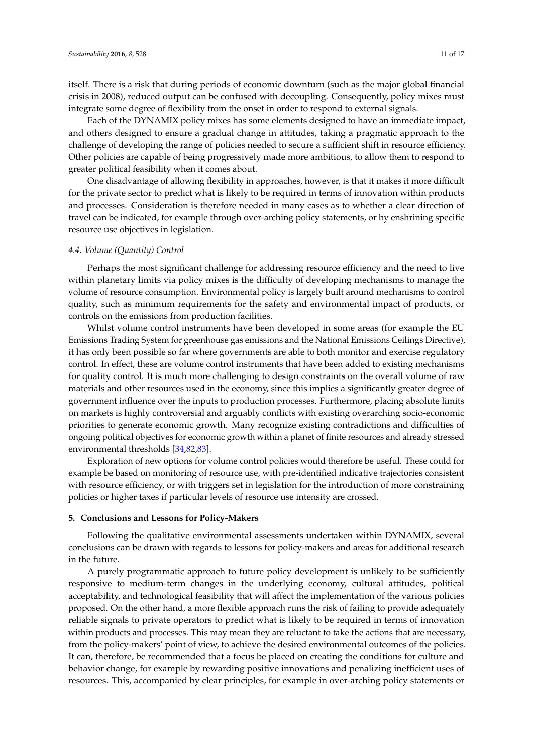itself. There is a risk that during periods of economic downturn (such as the major global financial crisis in 2008), reduced output can be confused with decoupling. Consequently, policy mixes must integrate some degree of flexibility from the onset in order to respond to external signals.

Each of the DYNAMIX policy mixes has some elements designed to have an immediate impact, and others designed to ensure a gradual change in attitudes, taking a pragmatic approach to the challenge of developing the range of policies needed to secure a sufficient shift in resource efficiency. Other policies are capable of being progressively made more ambitious, to allow them to respond to greater political feasibility when it comes about.

One disadvantage of allowing flexibility in approaches, however, is that it makes it more difficult for the private sector to predict what is likely to be required in terms of innovation within products and processes. Consideration is therefore needed in many cases as to whether a clear direction of travel can be indicated, for example through over-arching policy statements, or by enshrining specific resource use objectives in legislation.

#### *4.4. Volume (Quantity) Control*

Perhaps the most significant challenge for addressing resource efficiency and the need to live within planetary limits via policy mixes is the difficulty of developing mechanisms to manage the volume of resource consumption. Environmental policy is largely built around mechanisms to control quality, such as minimum requirements for the safety and environmental impact of products, or controls on the emissions from production facilities.

Whilst volume control instruments have been developed in some areas (for example the EU Emissions Trading System for greenhouse gas emissions and the National Emissions Ceilings Directive), it has only been possible so far where governments are able to both monitor and exercise regulatory control. In effect, these are volume control instruments that have been added to existing mechanisms for quality control. It is much more challenging to design constraints on the overall volume of raw materials and other resources used in the economy, since this implies a significantly greater degree of government influence over the inputs to production processes. Furthermore, placing absolute limits on markets is highly controversial and arguably conflicts with existing overarching socio-economic priorities to generate economic growth. Many recognize existing contradictions and difficulties of ongoing political objectives for economic growth within a planet of finite resources and already stressed environmental thresholds [\[34,](#page-13-17)[82,](#page-16-5)[83\]](#page-16-6).

Exploration of new options for volume control policies would therefore be useful. These could for example be based on monitoring of resource use, with pre-identified indicative trajectories consistent with resource efficiency, or with triggers set in legislation for the introduction of more constraining policies or higher taxes if particular levels of resource use intensity are crossed.

#### <span id="page-10-0"></span>**5. Conclusions and Lessons for Policy-Makers**

Following the qualitative environmental assessments undertaken within DYNAMIX, several conclusions can be drawn with regards to lessons for policy-makers and areas for additional research in the future.

A purely programmatic approach to future policy development is unlikely to be sufficiently responsive to medium-term changes in the underlying economy, cultural attitudes, political acceptability, and technological feasibility that will affect the implementation of the various policies proposed. On the other hand, a more flexible approach runs the risk of failing to provide adequately reliable signals to private operators to predict what is likely to be required in terms of innovation within products and processes. This may mean they are reluctant to take the actions that are necessary, from the policy-makers' point of view, to achieve the desired environmental outcomes of the policies. It can, therefore, be recommended that a focus be placed on creating the conditions for culture and behavior change, for example by rewarding positive innovations and penalizing inefficient uses of resources. This, accompanied by clear principles, for example in over-arching policy statements or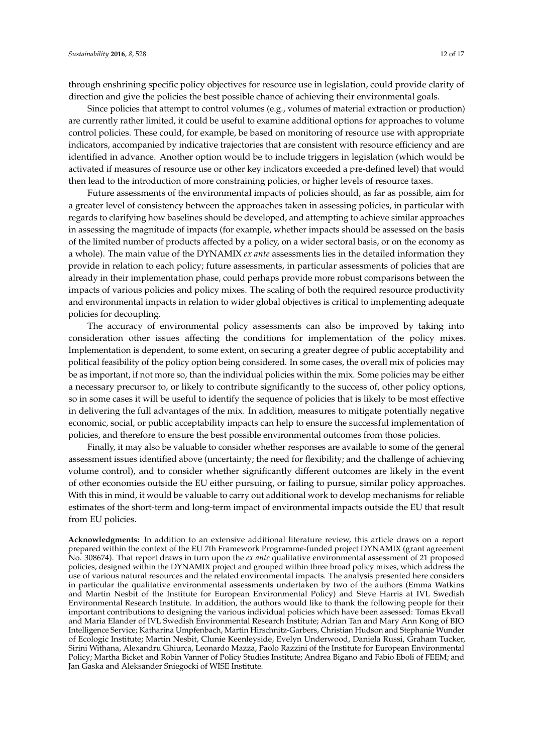through enshrining specific policy objectives for resource use in legislation, could provide clarity of direction and give the policies the best possible chance of achieving their environmental goals.

Since policies that attempt to control volumes (e.g., volumes of material extraction or production) are currently rather limited, it could be useful to examine additional options for approaches to volume control policies. These could, for example, be based on monitoring of resource use with appropriate indicators, accompanied by indicative trajectories that are consistent with resource efficiency and are identified in advance. Another option would be to include triggers in legislation (which would be activated if measures of resource use or other key indicators exceeded a pre-defined level) that would then lead to the introduction of more constraining policies, or higher levels of resource taxes.

Future assessments of the environmental impacts of policies should, as far as possible, aim for a greater level of consistency between the approaches taken in assessing policies, in particular with regards to clarifying how baselines should be developed, and attempting to achieve similar approaches in assessing the magnitude of impacts (for example, whether impacts should be assessed on the basis of the limited number of products affected by a policy, on a wider sectoral basis, or on the economy as a whole). The main value of the DYNAMIX *ex ante* assessments lies in the detailed information they provide in relation to each policy; future assessments, in particular assessments of policies that are already in their implementation phase, could perhaps provide more robust comparisons between the impacts of various policies and policy mixes. The scaling of both the required resource productivity and environmental impacts in relation to wider global objectives is critical to implementing adequate policies for decoupling.

The accuracy of environmental policy assessments can also be improved by taking into consideration other issues affecting the conditions for implementation of the policy mixes. Implementation is dependent, to some extent, on securing a greater degree of public acceptability and political feasibility of the policy option being considered. In some cases, the overall mix of policies may be as important, if not more so, than the individual policies within the mix. Some policies may be either a necessary precursor to, or likely to contribute significantly to the success of, other policy options, so in some cases it will be useful to identify the sequence of policies that is likely to be most effective in delivering the full advantages of the mix. In addition, measures to mitigate potentially negative economic, social, or public acceptability impacts can help to ensure the successful implementation of policies, and therefore to ensure the best possible environmental outcomes from those policies.

Finally, it may also be valuable to consider whether responses are available to some of the general assessment issues identified above (uncertainty; the need for flexibility; and the challenge of achieving volume control), and to consider whether significantly different outcomes are likely in the event of other economies outside the EU either pursuing, or failing to pursue, similar policy approaches. With this in mind, it would be valuable to carry out additional work to develop mechanisms for reliable estimates of the short-term and long-term impact of environmental impacts outside the EU that result from EU policies.

**Acknowledgments:** In addition to an extensive additional literature review, this article draws on a report prepared within the context of the EU 7th Framework Programme-funded project DYNAMIX (grant agreement No. 308674). That report draws in turn upon the *ex ante* qualitative environmental assessment of 21 proposed policies, designed within the DYNAMIX project and grouped within three broad policy mixes, which address the use of various natural resources and the related environmental impacts. The analysis presented here considers in particular the qualitative environmental assessments undertaken by two of the authors (Emma Watkins and Martin Nesbit of the Institute for European Environmental Policy) and Steve Harris at IVL Swedish Environmental Research Institute. In addition, the authors would like to thank the following people for their important contributions to designing the various individual policies which have been assessed: Tomas Ekvall and Maria Elander of IVL Swedish Environmental Research Institute; Adrian Tan and Mary Ann Kong of BIO Intelligence Service; Katharina Umpfenbach, Martin Hirschnitz-Garbers, Christian Hudson and Stephanie Wunder of Ecologic Institute; Martin Nesbit, Clunie Keenleyside, Evelyn Underwood, Daniela Russi, Graham Tucker, Sirini Withana, Alexandru Ghiurca, Leonardo Mazza, Paolo Razzini of the Institute for European Environmental Policy; Martha Bicket and Robin Vanner of Policy Studies Institute; Andrea Bigano and Fabio Eboli of FEEM; and Jan Gaska and Aleksander Sniegocki of WISE Institute.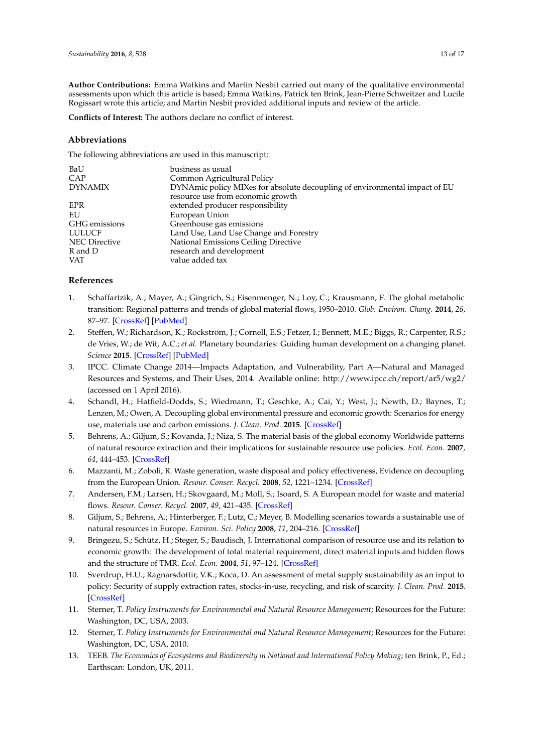**Author Contributions:** Emma Watkins and Martin Nesbit carried out many of the qualitative environmental assessments upon which this article is based; Emma Watkins, Patrick ten Brink, Jean-Pierre Schweitzer and Lucile Rogissart wrote this article; and Martin Nesbit provided additional inputs and review of the article.

**Conflicts of Interest:** The authors declare no conflict of interest.

## **Abbreviations**

The following abbreviations are used in this manuscript:

| BaU                  | business as usual                                                          |
|----------------------|----------------------------------------------------------------------------|
| CAP                  | Common Agricultural Policy                                                 |
| <b>DYNAMIX</b>       | DYNAmic policy MIXes for absolute decoupling of environmental impact of EU |
|                      | resource use from economic growth                                          |
| <b>EPR</b>           | extended producer responsibility                                           |
| EU                   | European Union                                                             |
| GHG emissions        | Greenhouse gas emissions                                                   |
| LULUCF               | Land Use, Land Use Change and Forestry                                     |
| <b>NEC</b> Directive | National Emissions Ceiling Directive                                       |
| R and D              | research and development                                                   |
| <b>VAT</b>           | value added tax                                                            |
|                      |                                                                            |

## **References**

- <span id="page-12-0"></span>1. Schaffartzik, A.; Mayer, A.; Gingrich, S.; Eisenmenger, N.; Loy, C.; Krausmann, F. The global metabolic transition: Regional patterns and trends of global material flows, 1950–2010. *Glob. Environ. Chang.* **2014**, *26*, 87–97. [\[CrossRef\]](http://dx.doi.org/10.1016/j.gloenvcha.2014.03.013) [\[PubMed\]](http://www.ncbi.nlm.nih.gov/pubmed/25844026)
- <span id="page-12-1"></span>2. Steffen, W.; Richardson, K.; Rockström, J.; Cornell, E.S.; Fetzer, I.; Bennett, M.E.; Biggs, R.; Carpenter, R.S.; de Vries, W.; de Wit, A.C.; *et al.* Planetary boundaries: Guiding human development on a changing planet. *Science* **2015**. [\[CrossRef\]](http://dx.doi.org/10.1126/science.1259855) [\[PubMed\]](http://www.ncbi.nlm.nih.gov/pubmed/25592418)
- <span id="page-12-2"></span>3. IPCC. Climate Change 2014—Impacts Adaptation, and Vulnerability, Part A—Natural and Managed Resources and Systems, and Their Uses, 2014. Available online: <http://www.ipcc.ch/report/ar5/wg2/> (accessed on 1 April 2016).
- <span id="page-12-3"></span>4. Schandl, H.; Hatfield-Dodds, S.; Wiedmann, T.; Geschke, A.; Cai, Y.; West, J.; Newth, D.; Baynes, T.; Lenzen, M.; Owen, A. Decoupling global environmental pressure and economic growth: Scenarios for energy use, materials use and carbon emissions. *J. Clean. Prod.* **2015**. [\[CrossRef\]](http://dx.doi.org/10.1016/j.jclepro.2015.06.100)
- <span id="page-12-4"></span>5. Behrens, A.; Giljum, S.; Kovanda, J.; Niza, S. The material basis of the global economy Worldwide patterns of natural resource extraction and their implications for sustainable resource use policies. *Ecol. Econ.* **2007**, *64*, 444–453. [\[CrossRef\]](http://dx.doi.org/10.1016/j.ecolecon.2007.02.034)
- <span id="page-12-5"></span>6. Mazzanti, M.; Zoboli, R. Waste generation, waste disposal and policy effectiveness, Evidence on decoupling from the European Union. *Resour. Conser. Recycl.* **2008**, *52*, 1221–1234. [\[CrossRef\]](http://dx.doi.org/10.1016/j.resconrec.2008.07.003)
- <span id="page-12-6"></span>7. Andersen, F.M.; Larsen, H.; Skovgaard, M.; Moll, S.; Isoard, S. A European model for waste and material flows. *Resour. Conser. Recycl.* **2007**, *49*, 421–435. [\[CrossRef\]](http://dx.doi.org/10.1016/j.resconrec.2006.05.011)
- <span id="page-12-10"></span>8. Giljum, S.; Behrens, A.; Hinterberger, F.; Lutz, C.; Meyer, B. Modelling scenarios towards a sustainable use of natural resources in Europe. *Environ. Sci. Policy* **2008**, *11*, 204–216. [\[CrossRef\]](http://dx.doi.org/10.1016/j.envsci.2007.07.005)
- <span id="page-12-7"></span>9. Bringezu, S.; Schütz, H.; Steger, S.; Baudisch, J. International comparison of resource use and its relation to economic growth: The development of total material requirement, direct material inputs and hidden flows and the structure of TMR. *Ecol. Econ.* **2004**, *51*, 97–124. [\[CrossRef\]](http://dx.doi.org/10.1016/j.ecolecon.2004.04.010)
- <span id="page-12-8"></span>10. Sverdrup, H.U.; Ragnarsdottir, V.K.; Koca, D. An assessment of metal supply sustainability as an input to policy: Security of supply extraction rates, stocks-in-use, recycling, and risk of scarcity. *J. Clean. Prod.* **2015**. [\[CrossRef\]](http://dx.doi.org/10.1016/j.jclepro.2015.06.085)
- <span id="page-12-9"></span>11. Sterner, T. *Policy Instruments for Environmental and Natural Resource Management*; Resources for the Future: Washington, DC, USA, 2003.
- 12. Sterner, T. *Policy Instruments for Environmental and Natural Resource Management*; Resources for the Future: Washington, DC, USA, 2010.
- 13. TEEB. *The Economics of Ecosystems and Biodiversity in National and International Policy Making*; ten Brink, P., Ed.; Earthscan: London, UK, 2011.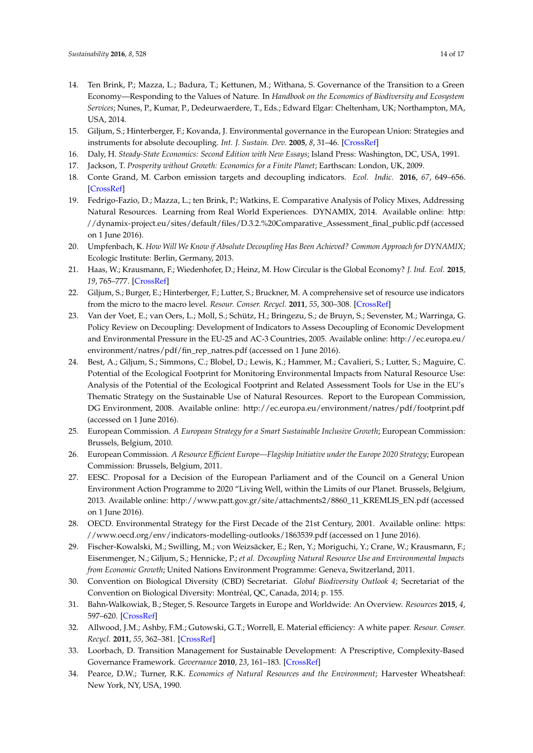- <span id="page-13-0"></span>14. Ten Brink, P.; Mazza, L.; Badura, T.; Kettunen, M.; Withana, S. Governance of the Transition to a Green Economy—Responding to the Values of Nature. In *Handbook on the Economics of Biodiversity and Ecosystem Services*; Nunes, P., Kumar, P., Dedeurwaerdere, T., Eds.; Edward Elgar: Cheltenham, UK; Northampton, MA, USA, 2014.
- <span id="page-13-1"></span>15. Giljum, S.; Hinterberger, F.; Kovanda, J. Environmental governance in the European Union: Strategies and instruments for absolute decoupling. *Int. J. Sustain. Dev.* **2005**, *8*, 31–46. [\[CrossRef\]](http://dx.doi.org/10.1504/IJSD.2005.007373)
- 16. Daly, H. *Steady-State Economics: Second Edition with New Essays*; Island Press: Washington, DC, USA, 1991.
- <span id="page-13-2"></span>17. Jackson, T. *Prosperity without Growth: Economics for a Finite Planet*; Earthscan: London, UK, 2009.
- <span id="page-13-3"></span>18. Conte Grand, M. Carbon emission targets and decoupling indicators. *Ecol. Indic.* **2016**, *67*, 649–656. [\[CrossRef\]](http://dx.doi.org/10.1016/j.ecolind.2016.03.042)
- <span id="page-13-4"></span>19. Fedrigo-Fazio, D.; Mazza, L.; ten Brink, P.; Watkins, E. Comparative Analysis of Policy Mixes, Addressing Natural Resources. Learning from Real World Experiences. DYNAMIX, 2014. Available online: [http:](http://dynamix-project.eu/sites/default/files/D.3.2.%20Comparative_Assessment_final_public.pdf) [//dynamix-project.eu/sites/default/files/D.3.2.%20Comparative\\_Assessment\\_final\\_public.pdf](http://dynamix-project.eu/sites/default/files/D.3.2.%20Comparative_Assessment_final_public.pdf) (accessed on 1 June 2016).
- <span id="page-13-5"></span>20. Umpfenbach, K. *How Will We Know if Absolute Decoupling Has Been Achieved? Common Approach for DYNAMIX*; Ecologic Institute: Berlin, Germany, 2013.
- <span id="page-13-6"></span>21. Haas, W.; Krausmann, F.; Wiedenhofer, D.; Heinz, M. How Circular is the Global Economy? *J. Ind. Ecol.* **2015**, *19*, 765–777. [\[CrossRef\]](http://dx.doi.org/10.1111/jiec.12244)
- <span id="page-13-7"></span>22. Giljum, S.; Burger, E.; Hinterberger, F.; Lutter, S.; Bruckner, M. A comprehensive set of resource use indicators from the micro to the macro level. *Resour. Conser. Recycl.* **2011**, *55*, 300–308. [\[CrossRef\]](http://dx.doi.org/10.1016/j.resconrec.2010.09.009)
- <span id="page-13-8"></span>23. Van der Voet, E.; van Oers, L.; Moll, S.; Schütz, H.; Bringezu, S.; de Bruyn, S.; Sevenster, M.; Warringa, G. Policy Review on Decoupling: Development of Indicators to Assess Decoupling of Economic Development and Environmental Pressure in the EU-25 and AC-3 Countries, 2005. Available online: [http://ec.europa.eu/](http://ec.europa.eu/environment/natres/pdf/fin_rep_natres.pdf) [environment/natres/pdf/fin\\_rep\\_natres.pdf](http://ec.europa.eu/environment/natres/pdf/fin_rep_natres.pdf) (accessed on 1 June 2016).
- <span id="page-13-9"></span>24. Best, A.; Giljum, S.; Simmons, C.; Blobel, D.; Lewis, K.; Hammer, M.; Cavalieri, S.; Lutter, S.; Maguire, C. Potential of the Ecological Footprint for Monitoring Environmental Impacts from Natural Resource Use: Analysis of the Potential of the Ecological Footprint and Related Assessment Tools for Use in the EU's Thematic Strategy on the Sustainable Use of Natural Resources. Report to the European Commission, DG Environment, 2008. Available online: <http://ec.europa.eu/environment/natres/pdf/footprint.pdf> (accessed on 1 June 2016).
- <span id="page-13-10"></span>25. European Commission. *A European Strategy for a Smart Sustainable Inclusive Growth*; European Commission: Brussels, Belgium, 2010.
- 26. European Commission. *A Resource Efficient Europe—Flagship Initiative under the Europe 2020 Strategy*; European Commission: Brussels, Belgium, 2011.
- <span id="page-13-11"></span>27. EESC. Proposal for a Decision of the European Parliament and of the Council on a General Union Environment Action Programme to 2020 "Living Well, within the Limits of our Planet. Brussels, Belgium, 2013. Available online: [http://www.patt.gov.gr/site/attachments2/8860\\_11\\_KREMLIS\\_EN.pdf](http://www.patt.gov.gr/site/attachments2/8860_11_KREMLIS_EN.pdf) (accessed on 1 June 2016).
- <span id="page-13-12"></span>28. OECD. Environmental Strategy for the First Decade of the 21st Century, 2001. Available online: [https:](https://www.oecd.org/env/indicators-modelling-outlooks/1863539.pdf) [//www.oecd.org/env/indicators-modelling-outlooks/1863539.pdf](https://www.oecd.org/env/indicators-modelling-outlooks/1863539.pdf) (accessed on 1 June 2016).
- <span id="page-13-18"></span>29. Fischer-Kowalski, M.; Swilling, M.; von Weizsäcker, E.; Ren, Y.; Moriguchi, Y.; Crane, W.; Krausmann, F.; Eisenmenger, N.; Giljum, S.; Hennicke, P.; *et al. Decoupling Natural Resource Use and Environmental Impacts from Economic Growth*; United Nations Environment Programme: Geneva, Switzerland, 2011.
- <span id="page-13-13"></span>30. Convention on Biological Diversity (CBD) Secretariat. *Global Biodiversity Outlook 4*; Secretariat of the Convention on Biological Diversity: Montréal, QC, Canada, 2014; p. 155.
- <span id="page-13-14"></span>31. Bahn-Walkowiak, B.; Steger, S. Resource Targets in Europe and Worldwide: An Overview. *Resources* **2015**, *4*, 597–620. [\[CrossRef\]](http://dx.doi.org/10.3390/resources4030597)
- <span id="page-13-15"></span>32. Allwood, J.M.; Ashby, F.M.; Gutowski, G.T.; Worrell, E. Material efficiency: A white paper. *Resour. Conser. Recycl.* **2011**, *55*, 362–381. [\[CrossRef\]](http://dx.doi.org/10.1016/j.resconrec.2010.11.002)
- <span id="page-13-16"></span>33. Loorbach, D. Transition Management for Sustainable Development: A Prescriptive, Complexity-Based Governance Framework. *Governance* **2010**, *23*, 161–183. [\[CrossRef\]](http://dx.doi.org/10.1111/j.1468-0491.2009.01471.x)
- <span id="page-13-17"></span>34. Pearce, D.W.; Turner, R.K. *Economics of Natural Resources and the Environment*; Harvester Wheatsheaf: New York, NY, USA, 1990.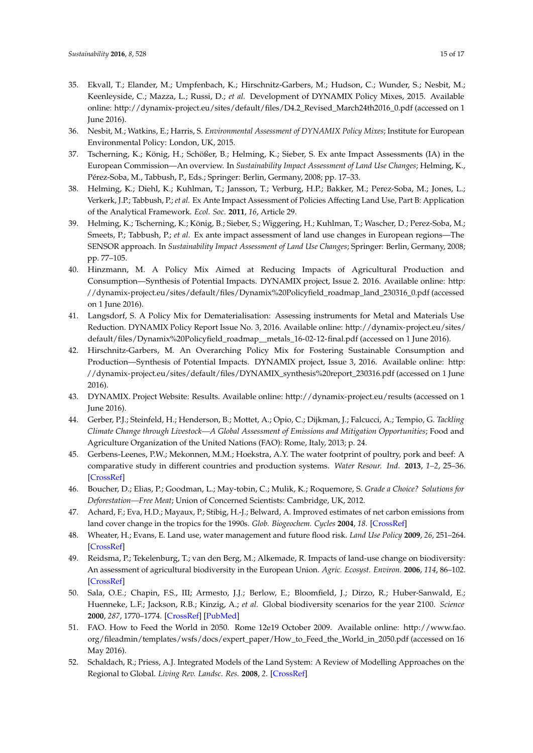- <span id="page-14-0"></span>35. Ekvall, T.; Elander, M.; Umpfenbach, K.; Hirschnitz-Garbers, M.; Hudson, C.; Wunder, S.; Nesbit, M.; Keenleyside, C.; Mazza, L.; Russi, D.; *et al.* Development of DYNAMIX Policy Mixes, 2015. Available online: [http://dynamix-project.eu/sites/default/files/D4.2\\_Revised\\_March24th2016\\_0.pdf](http://dynamix-project.eu/sites/default/files/D4.2_Revised_March24th2016_0.pdf) (accessed on 1 June 2016).
- <span id="page-14-1"></span>36. Nesbit, M.; Watkins, E.; Harris, S. *Environmental Assessment of DYNAMIX Policy Mixes*; Institute for European Environmental Policy: London, UK, 2015.
- <span id="page-14-2"></span>37. Tscherning, K.; König, H.; Schößer, B.; Helming, K.; Sieber, S. Ex ante Impact Assessments (IA) in the European Commission—An overview. In *Sustainability Impact Assessment of Land Use Changes*; Helming, K., Pérez-Soba, M., Tabbush, P., Eds.; Springer: Berlin, Germany, 2008; pp. 17–33.
- <span id="page-14-3"></span>38. Helming, K.; Diehl, K.; Kuhlman, T.; Jansson, T.; Verburg, H.P.; Bakker, M.; Perez-Soba, M.; Jones, L.; Verkerk, J.P.; Tabbush, P.; *et al.* Ex Ante Impact Assessment of Policies Affecting Land Use, Part B: Application of the Analytical Framework. *Ecol. Soc.* **2011**, *16*, Article 29.
- <span id="page-14-4"></span>39. Helming, K.; Tscherning, K.; König, B.; Sieber, S.; Wiggering, H.; Kuhlman, T.; Wascher, D.; Perez-Soba, M.; Smeets, P.; Tabbush, P.; *et al.* Ex ante impact assessment of land use changes in European regions—The SENSOR approach. In *Sustainability Impact Assessment of Land Use Changes*; Springer: Berlin, Germany, 2008; pp. 77–105.
- <span id="page-14-5"></span>40. Hinzmann, M. A Policy Mix Aimed at Reducing Impacts of Agricultural Production and Consumption—Synthesis of Potential Impacts. DYNAMIX project, Issue 2. 2016. Available online: [http:](http://dynamix-project.eu/sites/default/files/Dynamix%20Policyfield_roadmap_land_230316_0.pdf) [//dynamix-project.eu/sites/default/files/Dynamix%20Policyfield\\_roadmap\\_land\\_230316\\_0.pdf](http://dynamix-project.eu/sites/default/files/Dynamix%20Policyfield_roadmap_land_230316_0.pdf) (accessed on 1 June 2016).
- <span id="page-14-6"></span>41. Langsdorf, S. A Policy Mix for Dematerialisation: Assessing instruments for Metal and Materials Use Reduction. DYNAMIX Policy Report Issue No. 3, 2016. Available online: [http://dynamix-project.eu/sites/](http://dynamix-project.eu/sites/default/files/Dynamix%20Policyfield_roadmap__metals_16-02-12-final.pdf) [default/files/Dynamix%20Policyfield\\_roadmap\\_\\_metals\\_16-02-12-final.pdf](http://dynamix-project.eu/sites/default/files/Dynamix%20Policyfield_roadmap__metals_16-02-12-final.pdf) (accessed on 1 June 2016).
- <span id="page-14-7"></span>42. Hirschnitz-Garbers, M. An Overarching Policy Mix for Fostering Sustainable Consumption and Production—Synthesis of Potential Impacts. DYNAMIX project, Issue 3, 2016. Available online: [http:](http://dynamix-project.eu/sites/default/files/DYNAMIX_synthesis%20report_230316.pdf) [//dynamix-project.eu/sites/default/files/DYNAMIX\\_synthesis%20report\\_230316.pdf](http://dynamix-project.eu/sites/default/files/DYNAMIX_synthesis%20report_230316.pdf) (accessed on 1 June 2016).
- <span id="page-14-8"></span>43. DYNAMIX. Project Website: Results. Available online: <http://dynamix-project.eu/results> (accessed on 1 June 2016).
- <span id="page-14-9"></span>44. Gerber, P.J.; Steinfeld, H.; Henderson, B.; Mottet, A.; Opio, C.; Dijkman, J.; Falcucci, A.; Tempio, G. *Tackling Climate Change through Livestock—A Global Assessment of Emissions and Mitigation Opportunities*; Food and Agriculture Organization of the United Nations (FAO): Rome, Italy, 2013; p. 24.
- <span id="page-14-10"></span>45. Gerbens-Leenes, P.W.; Mekonnen, M.M.; Hoekstra, A.Y. The water footprint of poultry, pork and beef: A comparative study in different countries and production systems. *Water Resour. Ind.* **2013**, *1–2*, 25–36. [\[CrossRef\]](http://dx.doi.org/10.1016/j.wri.2013.03.001)
- <span id="page-14-11"></span>46. Boucher, D.; Elias, P.; Goodman, L.; May-tobin, C.; Mulik, K.; Roquemore, S. *Grade a Choice? Solutions for Deforestation—Free Meat*; Union of Concerned Scientists: Cambridge, UK, 2012.
- <span id="page-14-12"></span>47. Achard, F.; Eva, H.D.; Mayaux, P.; Stibig, H.-J.; Belward, A. Improved estimates of net carbon emissions from land cover change in the tropics for the 1990s. *Glob. Biogeochem. Cycles* **2004**, *18*. [\[CrossRef\]](http://dx.doi.org/10.1029/2003GB002142)
- <span id="page-14-13"></span>48. Wheater, H.; Evans, E. Land use, water management and future flood risk. *Land Use Policy* **2009**, *26*, 251–264. [\[CrossRef\]](http://dx.doi.org/10.1016/j.landusepol.2009.08.019)
- <span id="page-14-14"></span>49. Reidsma, P.; Tekelenburg, T.; van den Berg, M.; Alkemade, R. Impacts of land-use change on biodiversity: An assessment of agricultural biodiversity in the European Union. *Agric. Ecosyst. Environ.* **2006**, *114*, 86–102. [\[CrossRef\]](http://dx.doi.org/10.1016/j.agee.2005.11.026)
- <span id="page-14-15"></span>50. Sala, O.E.; Chapin, F.S., III; Armesto, J.J.; Berlow, E.; Bloomfield, J.; Dirzo, R.; Huber-Sanwald, E.; Huenneke, L.F.; Jackson, R.B.; Kinzig, A.; *et al.* Global biodiversity scenarios for the year 2100. *Science* **2000**, *287*, 1770–1774. [\[CrossRef\]](http://dx.doi.org/10.1126/science.287.5459.1770) [\[PubMed\]](http://www.ncbi.nlm.nih.gov/pubmed/10710299)
- <span id="page-14-16"></span>51. FAO. How to Feed the World in 2050. Rome 12e19 October 2009. Available online: [http://www.fao.](http://www.fao.org/fileadmin/templates/wsfs/docs/expert_paper/How_to_Feed_the_World_in_2050.pdf) [org/fileadmin/templates/wsfs/docs/expert\\_paper/How\\_to\\_Feed\\_the\\_World\\_in\\_2050.pdf](http://www.fao.org/fileadmin/templates/wsfs/docs/expert_paper/How_to_Feed_the_World_in_2050.pdf) (accessed on 16 May 2016).
- <span id="page-14-17"></span>52. Schaldach, R.; Priess, A.J. Integrated Models of the Land System: A Review of Modelling Approaches on the Regional to Global. *Living Rev. Landsc. Res.* **2008**, *2*. [\[CrossRef\]](http://dx.doi.org/10.12942/lrlr-2008-1)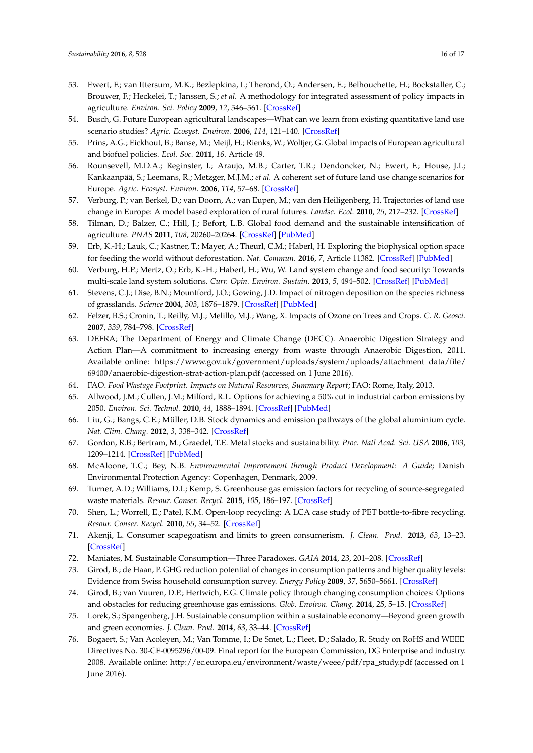- <span id="page-15-0"></span>53. Ewert, F.; van Ittersum, M.K.; Bezlepkina, I.; Therond, O.; Andersen, E.; Belhouchette, H.; Bockstaller, C.; Brouwer, F.; Heckelei, T.; Janssen, S.; *et al.* A methodology for integrated assessment of policy impacts in agriculture. *Environ. Sci. Policy* **2009**, *12*, 546–561. [\[CrossRef\]](http://dx.doi.org/10.1016/j.envsci.2009.02.005)
- <span id="page-15-1"></span>54. Busch, G. Future European agricultural landscapes—What can we learn from existing quantitative land use scenario studies? *Agric. Ecosyst. Environ.* **2006**, *114*, 121–140. [\[CrossRef\]](http://dx.doi.org/10.1016/j.agee.2005.11.007)
- <span id="page-15-6"></span>55. Prins, A.G.; Eickhout, B.; Banse, M.; Meijl, H.; Rienks, W.; Woltjer, G. Global impacts of European agricultural and biofuel policies. *Ecol. Soc.* **2011**, *16*. Article 49.
- <span id="page-15-7"></span>56. Rounsevell, M.D.A.; Reginster, I.; Araujo, M.B.; Carter, T.R.; Dendoncker, N.; Ewert, F.; House, J.I.; Kankaanpää, S.; Leemans, R.; Metzger, M.J.M.; *et al.* A coherent set of future land use change scenarios for Europe. *Agric. Ecosyst. Environ.* **2006**, *114*, 57–68. [\[CrossRef\]](http://dx.doi.org/10.1016/j.agee.2005.11.027)
- <span id="page-15-2"></span>57. Verburg, P.; van Berkel, D.; van Doorn, A.; van Eupen, M.; van den Heiligenberg, H. Trajectories of land use change in Europe: A model based exploration of rural futures. *Landsc. Ecol.* **2010**, *25*, 217–232. [\[CrossRef\]](http://dx.doi.org/10.1007/s10980-009-9347-7)
- <span id="page-15-3"></span>58. Tilman, D.; Balzer, C.; Hill, J.; Befort, L.B. Global food demand and the sustainable intensification of agriculture. *PNAS* **2011**, *108*, 20260–20264. [\[CrossRef\]](http://dx.doi.org/10.1073/pnas.1116437108) [\[PubMed\]](http://www.ncbi.nlm.nih.gov/pubmed/22106295)
- <span id="page-15-4"></span>59. Erb, K.-H.; Lauk, C.; Kastner, T.; Mayer, A.; Theurl, C.M.; Haberl, H. Exploring the biophysical option space for feeding the world without deforestation. *Nat. Commun.* **2016**, *7*, Article 11382. [\[CrossRef\]](http://dx.doi.org/10.1038/ncomms11382) [\[PubMed\]](http://www.ncbi.nlm.nih.gov/pubmed/27092437)
- <span id="page-15-5"></span>60. Verburg, H.P.; Mertz, O.; Erb, K.-H.; Haberl, H.; Wu, W. Land system change and food security: Towards multi-scale land system solutions. *Curr. Opin. Environ. Sustain.* **2013**, *5*, 494–502. [\[CrossRef\]](http://dx.doi.org/10.1016/j.cosust.2013.07.003) [\[PubMed\]](http://www.ncbi.nlm.nih.gov/pubmed/24143158)
- <span id="page-15-8"></span>61. Stevens, C.J.; Dise, B.N.; Mountford, J.O.; Gowing, J.D. Impact of nitrogen deposition on the species richness of grasslands. *Science* **2004**, *303*, 1876–1879. [\[CrossRef\]](http://dx.doi.org/10.1126/science.1094678) [\[PubMed\]](http://www.ncbi.nlm.nih.gov/pubmed/15031507)
- <span id="page-15-9"></span>62. Felzer, B.S.; Cronin, T.; Reilly, M.J.; Melillo, M.J.; Wang, X. Impacts of Ozone on Trees and Crops. *C. R. Geosci.* **2007**, *339*, 784–798. [\[CrossRef\]](http://dx.doi.org/10.1016/j.crte.2007.08.008)
- <span id="page-15-10"></span>63. DEFRA; The Department of Energy and Climate Change (DECC). Anaerobic Digestion Strategy and Action Plan—A commitment to increasing energy from waste through Anaerobic Digestion, 2011. Available online: [https://www.gov.uk/government/uploads/system/uploads/attachment\\_data/file/](https://www.gov.uk/government/uploads/system/uploads/attachment_data/file/69400/anaerobic-digestion-strat-action-plan.pdf) [69400/anaerobic-digestion-strat-action-plan.pdf](https://www.gov.uk/government/uploads/system/uploads/attachment_data/file/69400/anaerobic-digestion-strat-action-plan.pdf) (accessed on 1 June 2016).
- <span id="page-15-11"></span>64. FAO. *Food Wastage Footprint. Impacts on Natural Resources, Summary Report*; FAO: Rome, Italy, 2013.
- <span id="page-15-12"></span>65. Allwood, J.M.; Cullen, J.M.; Milford, R.L. Options for achieving a 50% cut in industrial carbon emissions by 2050. *Environ. Sci. Technol.* **2010**, *44*, 1888–1894. [\[CrossRef\]](http://dx.doi.org/10.1021/es902909k) [\[PubMed\]](http://www.ncbi.nlm.nih.gov/pubmed/20121181)
- <span id="page-15-13"></span>66. Liu, G.; Bangs, C.E.; Müller, D.B. Stock dynamics and emission pathways of the global aluminium cycle. *Nat. Clim. Chang.* **2012**, *3*, 338–342. [\[CrossRef\]](http://dx.doi.org/10.1038/nclimate1698)
- <span id="page-15-14"></span>67. Gordon, R.B.; Bertram, M.; Graedel, T.E. Metal stocks and sustainability. *Proc. Natl Acad. Sci. USA* **2006**, *103*, 1209–1214. [\[CrossRef\]](http://dx.doi.org/10.1073/pnas.0509498103) [\[PubMed\]](http://www.ncbi.nlm.nih.gov/pubmed/16432205)
- <span id="page-15-15"></span>68. McAloone, T.C.; Bey, N.B. *Environmental Improvement through Product Development: A Guide*; Danish Environmental Protection Agency: Copenhagen, Denmark, 2009.
- <span id="page-15-16"></span>69. Turner, A.D.; Williams, D.I.; Kemp, S. Greenhouse gas emission factors for recycling of source-segregated waste materials. *Resour. Conser. Recycl.* **2015**, *105*, 186–197. [\[CrossRef\]](http://dx.doi.org/10.1016/j.resconrec.2015.10.026)
- <span id="page-15-17"></span>70. Shen, L.; Worrell, E.; Patel, K.M. Open-loop recycling: A LCA case study of PET bottle-to-fibre recycling. *Resour. Conser. Recycl.* **2010**, *55*, 34–52. [\[CrossRef\]](http://dx.doi.org/10.1016/j.resconrec.2010.06.014)
- <span id="page-15-18"></span>71. Akenji, L. Consumer scapegoatism and limits to green consumerism. *J. Clean. Prod.* **2013**, *63*, 13–23. [\[CrossRef\]](http://dx.doi.org/10.1016/j.jclepro.2013.05.022)
- <span id="page-15-19"></span>72. Maniates, M. Sustainable Consumption—Three Paradoxes. *GAIA* **2014**, *23*, 201–208. [\[CrossRef\]](http://dx.doi.org/10.14512/gaia.23.S1.8)
- <span id="page-15-20"></span>73. Girod, B.; de Haan, P. GHG reduction potential of changes in consumption patterns and higher quality levels: Evidence from Swiss household consumption survey. *Energy Policy* **2009**, *37*, 5650–5661. [\[CrossRef\]](http://dx.doi.org/10.1016/j.enpol.2009.08.026)
- <span id="page-15-21"></span>74. Girod, B.; van Vuuren, D.P.; Hertwich, E.G. Climate policy through changing consumption choices: Options and obstacles for reducing greenhouse gas emissions. *Glob. Environ. Chang.* **2014**, *25*, 5–15. [\[CrossRef\]](http://dx.doi.org/10.1016/j.gloenvcha.2014.01.004)
- <span id="page-15-22"></span>75. Lorek, S.; Spangenberg, J.H. Sustainable consumption within a sustainable economy—Beyond green growth and green economies. *J. Clean. Prod.* **2014**, *63*, 33–44. [\[CrossRef\]](http://dx.doi.org/10.1016/j.jclepro.2013.08.045)
- <span id="page-15-23"></span>76. Bogaert, S.; Van Acoleyen, M.; Van Tomme, I.; De Smet, L.; Fleet, D.; Salado, R. Study on RoHS and WEEE Directives No. 30-CE-0095296/00-09. Final report for the European Commission, DG Enterprise and industry. 2008. Available online: [http://ec.europa.eu/environment/waste/weee/pdf/rpa\\_study.pdf](http://ec.europa.eu/environment/waste/weee/pdf/rpa_study.pdf) (accessed on 1 June 2016).